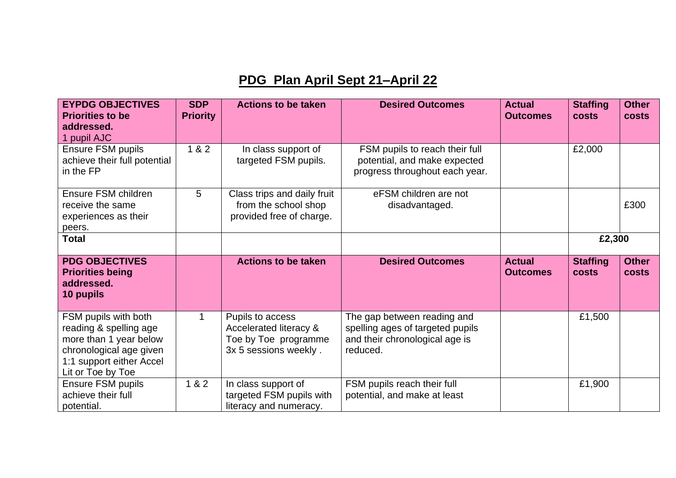## **PDG Plan April Sept 21–April 22**

| <b>EYPDG OBJECTIVES</b><br><b>Priorities to be</b><br>addressed.<br>1 pupil AJC                                                                      | <b>SDP</b><br><b>Priority</b> | <b>Actions to be taken</b>                                                                  | <b>Desired Outcomes</b>                                                                                       | <b>Actual</b><br><b>Outcomes</b> | <b>Staffing</b><br><b>costs</b> | <b>Other</b><br><b>costs</b> |
|------------------------------------------------------------------------------------------------------------------------------------------------------|-------------------------------|---------------------------------------------------------------------------------------------|---------------------------------------------------------------------------------------------------------------|----------------------------------|---------------------------------|------------------------------|
| Ensure FSM pupils<br>achieve their full potential<br>in the FP                                                                                       | 1 & 2                         | In class support of<br>targeted FSM pupils.                                                 | FSM pupils to reach their full<br>potential, and make expected<br>progress throughout each year.              |                                  | £2,000                          |                              |
| Ensure FSM children<br>receive the same<br>experiences as their<br>peers.                                                                            | 5                             | Class trips and daily fruit<br>from the school shop<br>provided free of charge.             | eFSM children are not<br>disadvantaged.                                                                       |                                  |                                 | £300                         |
| <b>Total</b>                                                                                                                                         |                               |                                                                                             |                                                                                                               |                                  | £2,300                          |                              |
| <b>PDG OBJECTIVES</b><br><b>Priorities being</b><br>addressed.<br>10 pupils                                                                          |                               | <b>Actions to be taken</b>                                                                  | <b>Desired Outcomes</b>                                                                                       | <b>Actual</b><br><b>Outcomes</b> | <b>Staffing</b><br><b>costs</b> | <b>Other</b><br><b>costs</b> |
| FSM pupils with both<br>reading & spelling age<br>more than 1 year below<br>chronological age given<br>1:1 support either Accel<br>Lit or Toe by Toe |                               | Pupils to access<br>Accelerated literacy &<br>Toe by Toe programme<br>3x 5 sessions weekly. | The gap between reading and<br>spelling ages of targeted pupils<br>and their chronological age is<br>reduced. |                                  | £1,500                          |                              |
| Ensure FSM pupils<br>achieve their full<br>potential.                                                                                                | 1 & 2                         | In class support of<br>targeted FSM pupils with<br>literacy and numeracy.                   | FSM pupils reach their full<br>potential, and make at least                                                   |                                  | £1,900                          |                              |